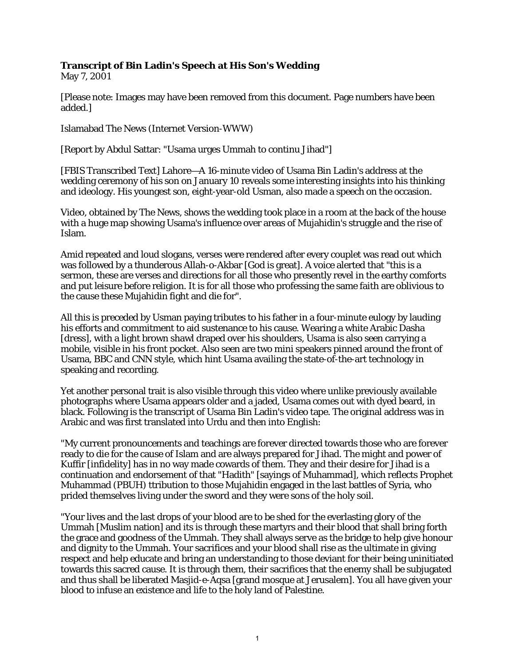## **Transcript of Bin Ladin's Speech at His Son's Wedding**

May 7, 2001

[Please note: Images may have been removed from this document. Page numbers have been added.]

Islamabad The News (Internet Version-WWW)

[Report by Abdul Sattar: "Usama urges Ummah to continu Jihad"]

[FBIS Transcribed Text] Lahore—A 16-minute video of Usama Bin Ladin's address at the wedding ceremony of his son on January 10 reveals some interesting insights into his thinking and ideology. His youngest son, eight-year-old Usman, also made a speech on the occasion.

Video, obtained by The News, shows the wedding took place in a room at the back of the house with a huge map showing Usama's influence over areas of Mujahidin's struggle and the rise of Islam.

Amid repeated and loud slogans, verses were rendered after every couplet was read out which was followed by a thunderous Allah-o-Akbar [God is great]. A voice alerted that "this is a sermon, these are verses and directions for all those who presently revel in the earthy comforts and put leisure before religion. It is for all those who professing the same faith are oblivious to the cause these Mujahidin fight and die for".

All this is preceded by Usman paying tributes to his father in a four-minute eulogy by lauding his efforts and commitment to aid sustenance to his cause. Wearing a white Arabic Dasha [dress], with a light brown shawl draped over his shoulders, Usama is also seen carrying a mobile, visible in his front pocket. Also seen are two mini speakers pinned around the front of Usama, BBC and CNN style, which hint Usama availing the state-of-the-art technology in speaking and recording.

Yet another personal trait is also visible through this video where unlike previously available photographs where Usama appears older and a jaded, Usama comes out with dyed beard, in black. Following is the transcript of Usama Bin Ladin's video tape. The original address was in Arabic and was first translated into Urdu and then into English:

"My current pronouncements and teachings are forever directed towards those who are forever ready to die for the cause of Islam and are always prepared for Jihad. The might and power of Kuffir [infidelity] has in no way made cowards of them. They and their desire for Jihad is a continuation and endorsement of that "Hadith" [sayings of Muhammad], which reflects Prophet Muhammad (PBUH) ttribution to those Mujahidin engaged in the last battles of Syria, who prided themselves living under the sword and they were sons of the holy soil.

"Your lives and the last drops of your blood are to be shed for the everlasting glory of the Ummah [Muslim nation] and its is through these martyrs and their blood that shall bring forth the grace and goodness of the Ummah. They shall always serve as the bridge to help give honour and dignity to the Ummah. Your sacrifices and your blood shall rise as the ultimate in giving respect and help educate and bring an understanding to those deviant for their being uninitiated towards this sacred cause. It is through them, their sacrifices that the enemy shall be subjugated and thus shall be liberated Masjid-e-Aqsa [grand mosque at Jerusalem]. You all have given your blood to infuse an existence and life to the holy land of Palestine.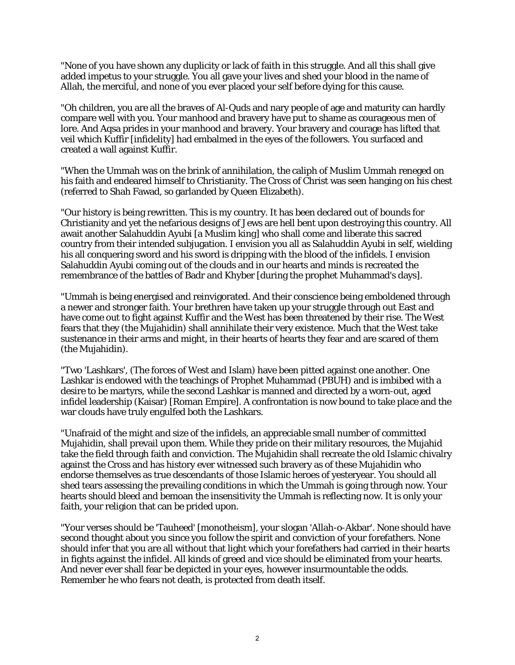"None of you have shown any duplicity or lack of faith in this struggle. And all this shall give added impetus to your struggle. You all gave your lives and shed your blood in the name of Allah, the merciful, and none of you ever placed your self before dying for this cause.

"Oh children, you are all the braves of Al-Quds and nary people of age and maturity can hardly compare well with you. Your manhood and bravery have put to shame as courageous men of lore. And Aqsa prides in your manhood and bravery. Your bravery and courage has lifted that veil which Kuffir [infidelity] had embalmed in the eyes of the followers. You surfaced and created a wall against Kuffir.

"When the Ummah was on the brink of annihilation, the caliph of Muslim Ummah reneged on his faith and endeared himself to Christianity. The Cross of Christ was seen hanging on his chest (referred to Shah Fawad, so garlanded by Queen Elizabeth).

"Our history is being rewritten. This is my country. It has been declared out of bounds for Christianity and yet the nefarious designs of Jews are hell bent upon destroying this country. All await another Salahuddin Ayubi [a Muslim king] who shall come and liberate this sacred country from their intended subjugation. I envision you all as Salahuddin Ayubi in self, wielding his all conquering sword and his sword is dripping with the blood of the infidels. I envision Salahuddin Ayubi coming out of the clouds and in our hearts and minds is recreated the remembrance of the battles of Badr and Khyber [during the prophet Muhammad's days].

"Ummah is being energised and reinvigorated. And their conscience being emboldened through a newer and stronger faith. Your brethren have taken up your struggle through out East and have come out to fight against Kuffir and the West has been threatened by their rise. The West fears that they (the Mujahidin) shall annihilate their very existence. Much that the West take sustenance in their arms and might, in their hearts of hearts they fear and are scared of them (the Mujahidin).

"Two 'Lashkars', (The forces of West and Islam) have been pitted against one another. One Lashkar is endowed with the teachings of Prophet Muhammad (PBUH) and is imbibed with a desire to be martyrs, while the second Lashkar is manned and directed by a worn-out, aged infidel leadership (Kaisar) [Roman Empire]. A confrontation is now bound to take place and the war clouds have truly engulfed both the Lashkars.

"Unafraid of the might and size of the infidels, an appreciable small number of committed Mujahidin, shall prevail upon them. While they pride on their military resources, the Mujahid take the field through faith and conviction. The Mujahidin shall recreate the old Islamic chivalry against the Cross and has history ever witnessed such bravery as of these Mujahidin who endorse themselves as true descendants of those Islamic heroes of yesteryear. You should all shed tears assessing the prevailing conditions in which the Ummah is going through now. Your hearts should bleed and bemoan the insensitivity the Ummah is reflecting now. It is only your faith, your religion that can be prided upon.

"Your verses should be 'Tauheed' [monotheism], your slogan 'Allah-o-Akbar'. None should have second thought about you since you follow the spirit and conviction of your forefathers. None should infer that you are all without that light which your forefathers had carried in their hearts in fights against the infidel. All kinds of greed and vice should be eliminated from your hearts. And never ever shall fear be depicted in your eyes, however insurmountable the odds. Remember he who fears not death, is protected from death itself.